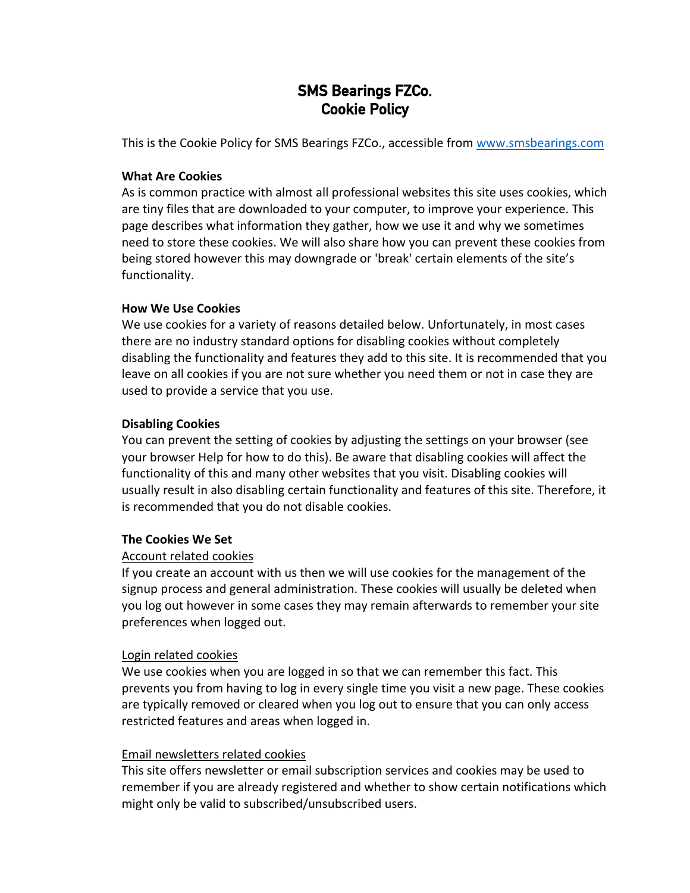# **SMS Bearings FZCo. Cookie Policy**

This is the Cookie Policy for SMS Bearings FZCo., accessible from www.smsbearings.com

### **What Are Cookies**

As is common practice with almost all professional websites this site uses cookies, which are tiny files that are downloaded to your computer, to improve your experience. This page describes what information they gather, how we use it and why we sometimes need to store these cookies. We will also share how you can prevent these cookies from being stored however this may downgrade or 'break' certain elements of the site's functionality.

### **How We Use Cookies**

We use cookies for a variety of reasons detailed below. Unfortunately, in most cases there are no industry standard options for disabling cookies without completely disabling the functionality and features they add to this site. It is recommended that you leave on all cookies if you are not sure whether you need them or not in case they are used to provide a service that you use.

### **Disabling Cookies**

You can prevent the setting of cookies by adjusting the settings on your browser (see your browser Help for how to do this). Be aware that disabling cookies will affect the functionality of this and many other websites that you visit. Disabling cookies will usually result in also disabling certain functionality and features of this site. Therefore, it is recommended that you do not disable cookies.

# **The Cookies We Set**

# Account related cookies

If you create an account with us then we will use cookies for the management of the signup process and general administration. These cookies will usually be deleted when you log out however in some cases they may remain afterwards to remember your site preferences when logged out.

### Login related cookies

We use cookies when you are logged in so that we can remember this fact. This prevents you from having to log in every single time you visit a new page. These cookies are typically removed or cleared when you log out to ensure that you can only access restricted features and areas when logged in.

# Email newsletters related cookies

This site offers newsletter or email subscription services and cookies may be used to remember if you are already registered and whether to show certain notifications which might only be valid to subscribed/unsubscribed users.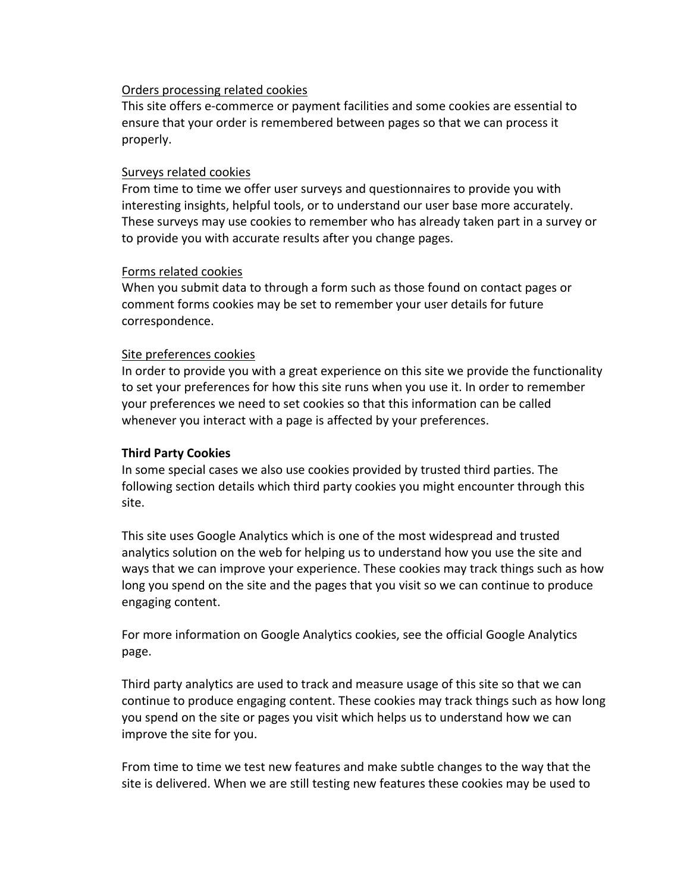### Orders processing related cookies

This site offers e-commerce or payment facilities and some cookies are essential to ensure that your order is remembered between pages so that we can process it properly.

### Surveys related cookies

From time to time we offer user surveys and questionnaires to provide you with interesting insights, helpful tools, or to understand our user base more accurately. These surveys may use cookies to remember who has already taken part in a survey or to provide you with accurate results after you change pages.

### Forms related cookies

When you submit data to through a form such as those found on contact pages or comment forms cookies may be set to remember your user details for future correspondence.

### Site preferences cookies

In order to provide you with a great experience on this site we provide the functionality to set your preferences for how this site runs when you use it. In order to remember your preferences we need to set cookies so that this information can be called whenever you interact with a page is affected by your preferences.

### **Third Party Cookies**

In some special cases we also use cookies provided by trusted third parties. The following section details which third party cookies you might encounter through this site.

This site uses Google Analytics which is one of the most widespread and trusted analytics solution on the web for helping us to understand how you use the site and ways that we can improve your experience. These cookies may track things such as how long you spend on the site and the pages that you visit so we can continue to produce engaging content.

For more information on Google Analytics cookies, see the official Google Analytics page.

Third party analytics are used to track and measure usage of this site so that we can continue to produce engaging content. These cookies may track things such as how long you spend on the site or pages you visit which helps us to understand how we can improve the site for you.

From time to time we test new features and make subtle changes to the way that the site is delivered. When we are still testing new features these cookies may be used to